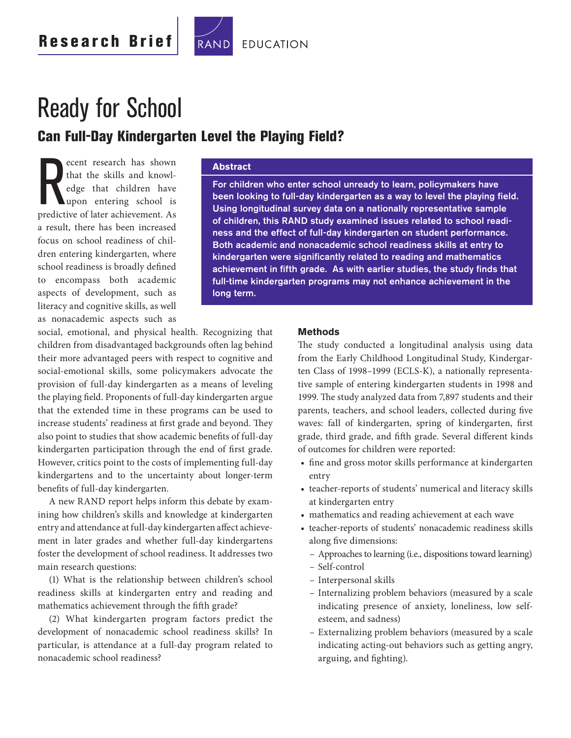

# Ready for School

**Can Full-Day Kindergarten Level the Playing Field?**

ecent research has shown<br>that the skills and knowl-<br>edge that children have<br>upon entering school is<br>predictive of later achievement. As ecent research has shown that the skills and knowledge that children have upon entering school is a result, there has been increased focus on school readiness of children entering kindergarten, where school readiness is broadly defined to encompass both academic aspects of development, such as literacy and cognitive skills, as well as nonacademic aspects such as

#### **Abstract**

**For children who enter school unready to learn, policymakers have**  been looking to full-day kindergarten as a way to level the playing field. **Using longitudinal survey data on a nationally representative sample of children, this RAND study examined issues related to school readiness and the effect of full-day kindergarten on student performance. Both academic and nonacademic school readiness skills at entry to**  kindergarten were significantly related to reading and mathematics achievement in fifth grade. As with earlier studies, the study finds that **full-time kindergarten programs may not enhance achievement in the long term.**

social, emotional, and physical health. Recognizing that children from disadvantaged backgrounds often lag behind their more advantaged peers with respect to cognitive and social-emotional skills, some policymakers advocate the provision of full-day kindergarten as a means of leveling the playing field. Proponents of full-day kindergarten argue that the extended time in these programs can be used to increase students' readiness at first grade and beyond. They also point to studies that show academic benefits of full-day kindergarten participation through the end of first grade. However, critics point to the costs of implementing full-day kindergartens and to the uncertainty about longer-term benefits of full-day kindergarten.

A new RAND report helps inform this debate by examining how children's skills and knowledge at kindergarten entry and attendance at full-day kindergarten affect achievement in later grades and whether full-day kindergartens foster the development of school readiness. It addresses two main research questions:

(1) What is the relationship between children's school readiness skills at kindergarten entry and reading and mathematics achievement through the fifth grade?

(2) What kindergarten program factors predict the development of nonacademic school readiness skills? In particular, is attendance at a full-day program related to nonacademic school readiness?

#### **Methods**

The study conducted a longitudinal analysis using data from the Early Childhood Longitudinal Study, Kindergarten Class of 1998–1999 (ECLS-K), a nationally representative sample of entering kindergarten students in 1998 and 1999. The study analyzed data from 7,897 students and their parents, teachers, and school leaders, collected during five waves: fall of kindergarten, spring of kindergarten, first grade, third grade, and fifth grade. Several different kinds of outcomes for children were reported:

- fine and gross motor skills performance at kindergarten entry
- teacher-reports of students' numerical and literacy skills at kindergarten entry
- mathematics and reading achievement at each wave
- teacher-reports of students' nonacademic readiness skills along five dimensions:
	- Approaches to learning (i.e., dispositions toward learning)
	- Self-control
	- Interpersonal skills
	- Internalizing problem behaviors (measured by a scale indicating presence of anxiety, loneliness, low selfesteem, and sadness)
	- Externalizing problem behaviors (measured by a scale indicating acting-out behaviors such as getting angry, arguing, and fighting).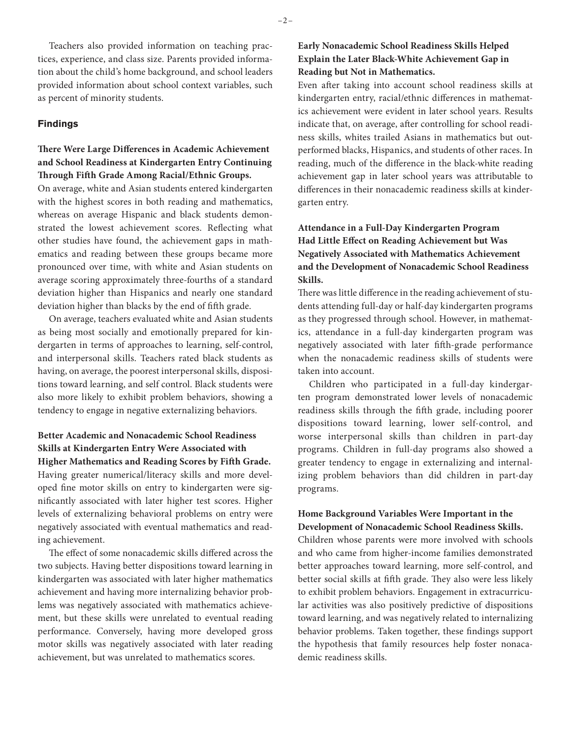Teachers also provided information on teaching practices, experience, and class size. Parents provided information about the child's home background, and school leaders provided information about school context variables, such as percent of minority students.

#### **Findings**

#### **There Were Large Differences in Academic Achievement and School Readiness at Kindergarten Entry Continuing Through Fifth Grade Among Racial/Ethnic Groups.**

On average, white and Asian students entered kindergarten with the highest scores in both reading and mathematics, whereas on average Hispanic and black students demonstrated the lowest achievement scores. Reflecting what other studies have found, the achievement gaps in mathematics and reading between these groups became more pronounced over time, with white and Asian students on average scoring approximately three-fourths of a standard deviation higher than Hispanics and nearly one standard deviation higher than blacks by the end of fifth grade.

On average, teachers evaluated white and Asian students as being most socially and emotionally prepared for kindergarten in terms of approaches to learning, self-control, and interpersonal skills. Teachers rated black students as having, on average, the poorest interpersonal skills, dispositions toward learning, and self control. Black students were also more likely to exhibit problem behaviors, showing a tendency to engage in negative externalizing behaviors.

#### **Better Academic and Nonacademic School Readiness Skills at Kindergarten Entry Were Associated with**  Higher Mathematics and Reading Scores by Fifth Grade.

Having greater numerical/literacy skills and more developed fine motor skills on entry to kindergarten were significantly associated with later higher test scores. Higher levels of externalizing behavioral problems on entry were negatively associated with eventual mathematics and reading achievement.

The effect of some nonacademic skills differed across the two subjects. Having better dispositions toward learning in kindergarten was associated with later higher mathematics achievement and having more internalizing behavior problems was negatively associated with mathematics achievement, but these skills were unrelated to eventual reading performance. Conversely, having more developed gross motor skills was negatively associated with later reading achievement, but was unrelated to mathematics scores.

#### **Early Nonacademic School Readiness Skills Helped Explain the Later Black-White Achievement Gap in Reading but Not in Mathematics.**

Even after taking into account school readiness skills at kindergarten entry, racial/ethnic differences in mathematics achievement were evident in later school years. Results indicate that, on average, after controlling for school readiness skills, whites trailed Asians in mathematics but outperformed blacks, Hispanics, and students of other races. In reading, much of the difference in the black-white reading achievement gap in later school years was attributable to differences in their nonacademic readiness skills at kindergarten entry.

#### **Attendance in a Full-Day Kindergarten Program Had Little Effect on Reading Achievement but Was Negatively Associated with Mathematics Achievement and the Development of Nonacademic School Readiness Skills.**

There was little difference in the reading achievement of students attending full-day or half-day kindergarten programs as they progressed through school. However, in mathematics, attendance in a full-day kindergarten program was negatively associated with later fifth-grade performance when the nonacademic readiness skills of students were taken into account.

Children who participated in a full-day kindergarten program demonstrated lower levels of nonacademic readiness skills through the fifth grade, including poorer dispositions toward learning, lower self-control, and worse interpersonal skills than children in part-day programs. Children in full-day programs also showed a greater tendency to engage in externalizing and internalizing problem behaviors than did children in part-day programs.

#### **Home Background Variables Were Important in the Development of Nonacademic School Readiness Skills.**

Children whose parents were more involved with schools and who came from higher-income families demonstrated better approaches toward learning, more self-control, and better social skills at fifth grade. They also were less likely to exhibit problem behaviors. Engagement in extracurricular activities was also positively predictive of dispositions toward learning, and was negatively related to internalizing behavior problems. Taken together, these findings support the hypothesis that family resources help foster nonacademic readiness skills.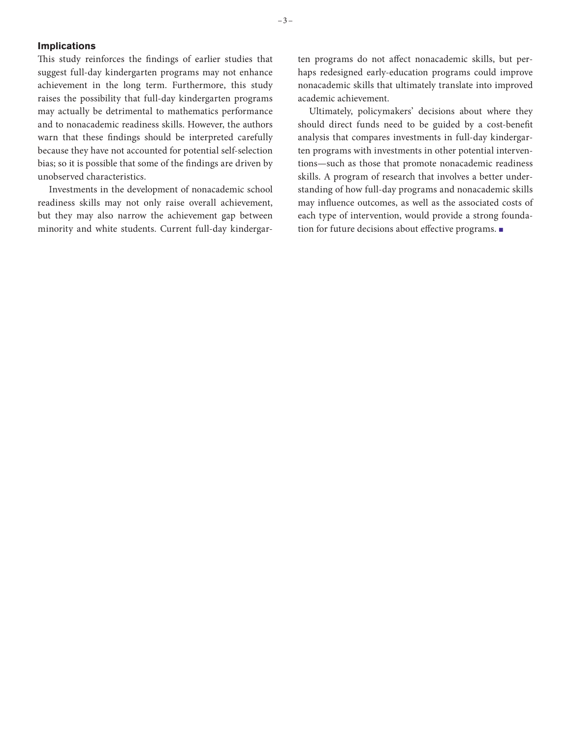#### **Implications**

This study reinforces the findings of earlier studies that suggest full-day kindergarten programs may not enhance achievement in the long term. Furthermore, this study raises the possibility that full-day kindergarten programs may actually be detrimental to mathematics performance and to nonacademic readiness skills. However, the authors warn that these findings should be interpreted carefully because they have not accounted for potential self-selection bias; so it is possible that some of the findings are driven by unobserved characteristics.

Investments in the development of nonacademic school readiness skills may not only raise overall achievement, but they may also narrow the achievement gap between minority and white students. Current full-day kindergarten programs do not affect nonacademic skills, but perhaps redesigned early-education programs could improve nonacademic skills that ultimately translate into improved academic achievement.

Ultimately, policymakers' decisions about where they should direct funds need to be guided by a cost-benefit analysis that compares investments in full-day kindergarten programs with investments in other potential interventions—such as those that promote nonacademic readiness skills. A program of research that involves a better understanding of how full-day programs and nonacademic skills may influence outcomes, as well as the associated costs of each type of intervention, would provide a strong foundation for future decisions about effective programs. ■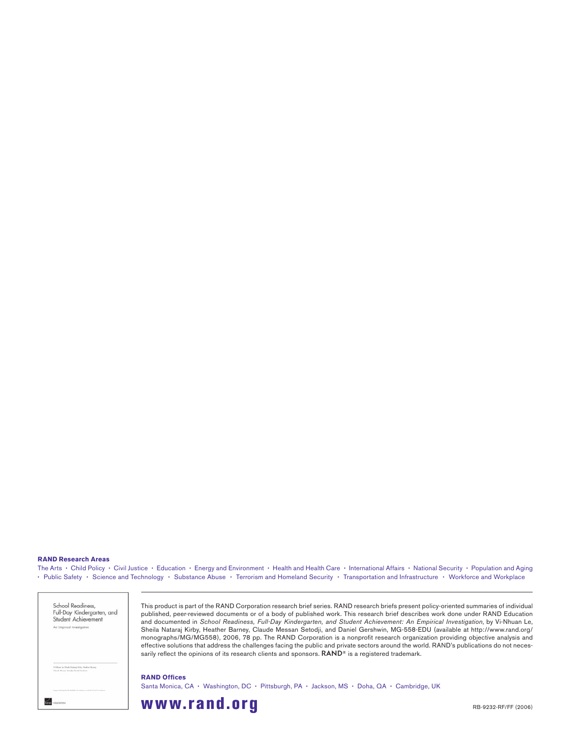#### **RAND Research Areas**

The Arts • Child Policy • Civil Justice • Education • Energy and Environment • Health and Health Care • International Affairs • National Security • Population and Aging • Public Safety • Science and Technology • Substance Abuse • Terrorism and Homeland Security • Transportation and Infrastructure • Workforce and Workplace

| School Readiness.<br>Full-Day Kindergarten, and<br>Student Achievement                                                                       |
|----------------------------------------------------------------------------------------------------------------------------------------------|
| An Empirical Investigation<br>in the company's state of the company's state of the property of the company's state of the company's state of |
|                                                                                                                                              |
|                                                                                                                                              |
|                                                                                                                                              |
|                                                                                                                                              |
| Webbass in Shake Natural Kills, Hashat Barnus<br>Chanks Manual Saturity David Gardens<br>a komzet a statunek (1968) e                        |
| Expensived by the final platfor framework and the Trank Four                                                                                 |

This product is part of the RAND Corporation research brief series. RAND research briefs present policy-oriented summaries of individual published, peer-reviewed documents or of a body of published work. This research brief describes work done under RAND Education and documented in *School Readiness, Full-Day Kindergarten, and Student Achievement: An Empirical Investigation*, by Vi-Nhuan Le, Sheila Nataraj Kirby, Heather Barney, Claude Messan Setodji, and Daniel Gershwin, MG-558-EDU (available at http://www.rand.org/ monographs/MG/MG558), 2006, 78 pp. The RAND Corporation is a nonprofi t research organization providing objective analysis and effective solutions that address the challenges facing the public and private sectors around the world. RAND's publications do not necessarily reflect the opinions of its research clients and sponsors.  $\mathsf{RAND}^{\circledast}$  is a registered trademark.

Santa Monica, CA • Washington, DC • Pittsburgh, PA • Jackson, MS • Doha, QA • Cambridge, UK

## **www.rand.org** RB-9232-RF/FF (2006)

**RAND Offices**